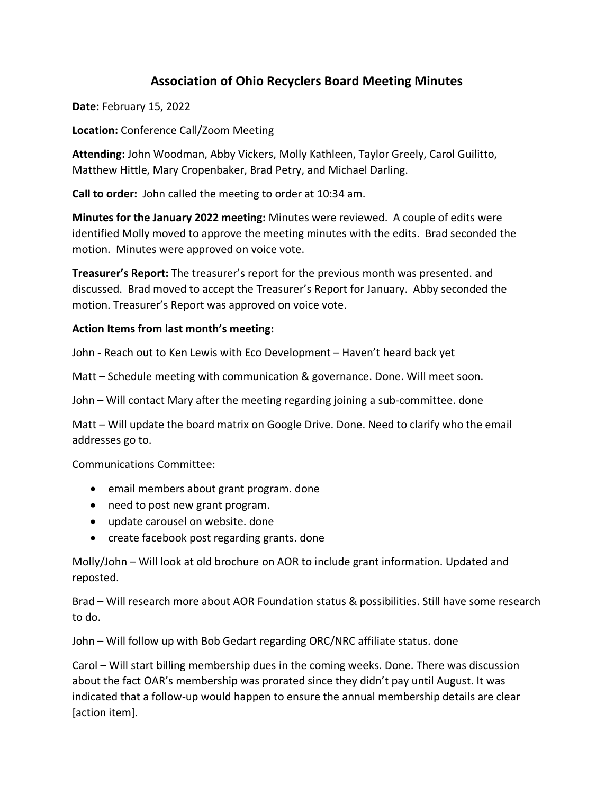# **Association of Ohio Recyclers Board Meeting Minutes**

**Date:** February 15, 2022

**Location:** Conference Call/Zoom Meeting

**Attending:** John Woodman, Abby Vickers, Molly Kathleen, Taylor Greely, Carol Guilitto, Matthew Hittle, Mary Cropenbaker, Brad Petry, and Michael Darling.

**Call to order:** John called the meeting to order at 10:34 am.

**Minutes for the January 2022 meeting:** Minutes were reviewed. A couple of edits were identified Molly moved to approve the meeting minutes with the edits. Brad seconded the motion. Minutes were approved on voice vote.

**Treasurer's Report:** The treasurer's report for the previous month was presented. and discussed. Brad moved to accept the Treasurer's Report for January. Abby seconded the motion. Treasurer's Report was approved on voice vote.

#### **Action Items from last month's meeting:**

John - Reach out to Ken Lewis with Eco Development – Haven't heard back yet

Matt – Schedule meeting with communication & governance. Done. Will meet soon.

John – Will contact Mary after the meeting regarding joining a sub-committee. done

Matt – Will update the board matrix on Google Drive. Done. Need to clarify who the email addresses go to.

Communications Committee:

- email members about grant program. done
- need to post new grant program.
- update carousel on website. done
- create facebook post regarding grants. done

Molly/John – Will look at old brochure on AOR to include grant information. Updated and reposted.

Brad – Will research more about AOR Foundation status & possibilities. Still have some research to do.

John – Will follow up with Bob Gedart regarding ORC/NRC affiliate status. done

Carol – Will start billing membership dues in the coming weeks. Done. There was discussion about the fact OAR's membership was prorated since they didn't pay until August. It was indicated that a follow-up would happen to ensure the annual membership details are clear [action item].